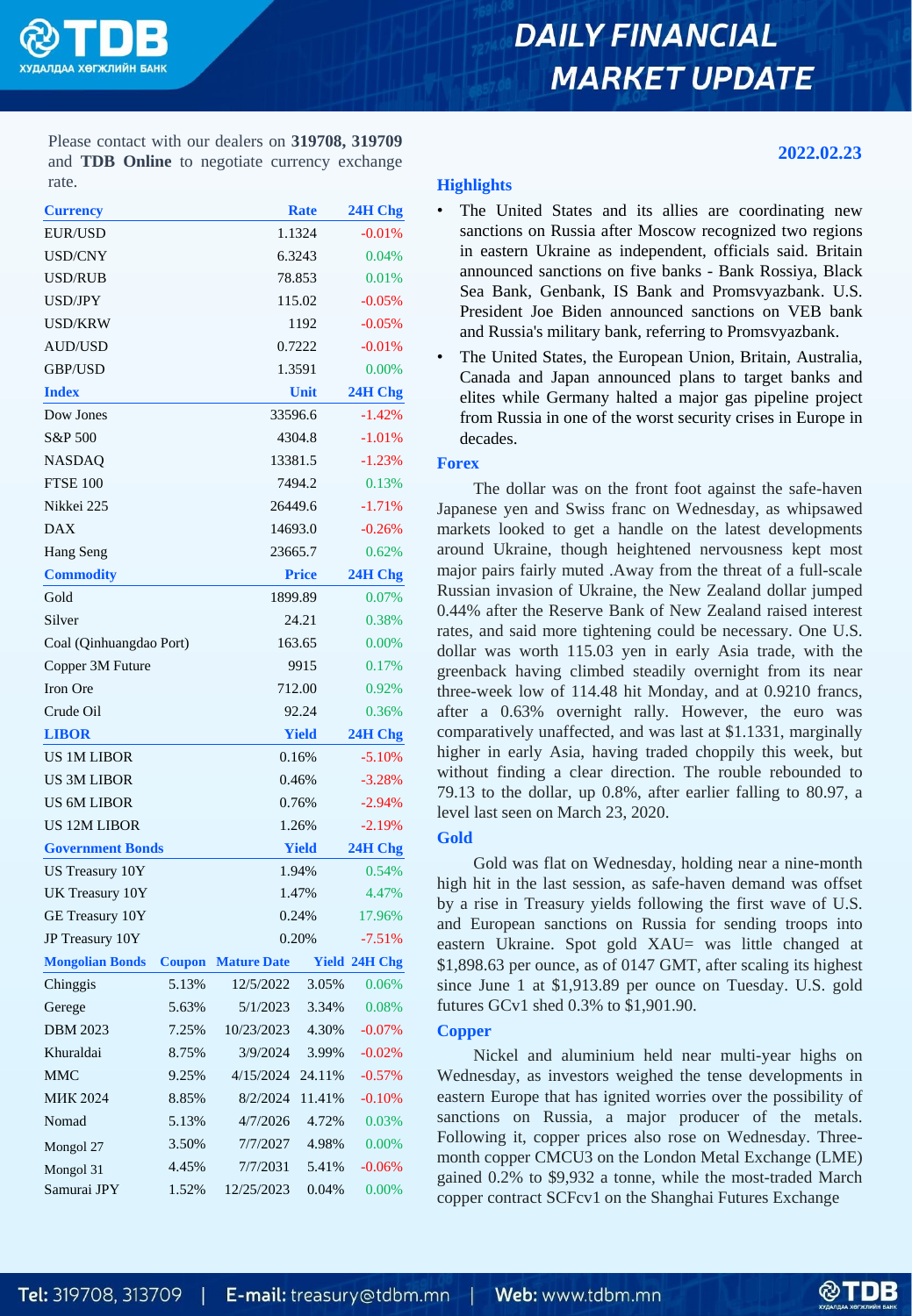

# **DAILY FINANCIAL MARKET UPDATE**

Please contact with our dealers on **319708, 319709** and **TDB Online** to negotiate currency exchange rate.

| <b>Currency</b>         |               |                    | <b>Rate</b>  | 24H Chg   |  |
|-------------------------|---------------|--------------------|--------------|-----------|--|
| EUR/USD                 |               |                    | 1.1324       | $-0.01%$  |  |
| USD/CNY                 |               |                    | 6.3243       | 0.04%     |  |
| USD/RUB                 |               | 78.853             |              |           |  |
| USD/JPY                 |               |                    | 115.02       | $-0.05%$  |  |
| USD/KRW                 |               |                    | 1192         | $-0.05%$  |  |
| AUD/USD                 |               | 0.7222             |              |           |  |
| GBP/USD                 |               |                    | 1.3591       | 0.00%     |  |
| <b>Index</b>            |               |                    | Unit         | 24H Chg   |  |
| Dow Jones               |               | 33596.6            |              | $-1.42%$  |  |
| S&P 500                 |               | 4304.8             | $-1.01%$     |           |  |
| NASDAQ                  | 13381.5       | $-1.23%$           |              |           |  |
| <b>FTSE 100</b>         | 7494.2        | 0.13%              |              |           |  |
| Nikkei 225              | 26449.6       | $-1.71%$           |              |           |  |
| <b>DAX</b>              |               | 14693.0            |              |           |  |
| Hang Seng               |               | 23665.7            |              |           |  |
| <b>Commodity</b>        |               | <b>Price</b>       |              |           |  |
| Gold                    |               |                    | 1899.89      |           |  |
| Silver                  |               | 24.21              |              |           |  |
| Coal (Qinhuangdao Port) | 163.65        | 0.00%              |              |           |  |
| Copper 3M Future        | 9915          | 0.17%              |              |           |  |
| Iron Ore                |               | 712.00             |              | 0.92%     |  |
| Crude Oil               |               | 92.24              |              | 0.36%     |  |
| <b>LIBOR</b>            |               |                    | <b>Yield</b> |           |  |
| <b>US 1M LIBOR</b>      |               |                    | 0.16%        |           |  |
| US 3M LIBOR             |               | 0.46%              | $-3.28%$     |           |  |
| US 6M LIBOR             |               | 0.76%              |              | $-2.94%$  |  |
| <b>US 12M LIBOR</b>     | 1.26%         | $-2.19%$           |              |           |  |
| <b>Government Bonds</b> |               | <b>Yield</b>       |              |           |  |
| US Treasury 10Y         | 1.94%         | 0.54%              |              |           |  |
| UK Treasury 10Y         |               | 1.47%              |              | 4.47%     |  |
| GE Treasury 10Y         |               | 0.24%              |              | 17.96%    |  |
| JP Treasury 10Y         |               | 0.20%              |              | $-7.51%$  |  |
| <b>Mongolian Bonds</b>  | <b>Coupon</b> | <b>Mature Date</b> | Yield        | 24H Chg   |  |
| Chinggis                | 5.13%         | 12/5/2022          | 3.05%        | 0.06%     |  |
| Gerege                  | 5.63%         | 5/1/2023           | 3.34%        | 0.08%     |  |
| <b>DBM 2023</b>         | 7.25%         | 10/23/2023         | 4.30%        | $-0.07\%$ |  |
| Khuraldai               | 8.75%         | 3/9/2024           | 3.99%        | $-0.02%$  |  |
| <b>MMC</b>              | 9.25%         | 4/15/2024          | 24.11%       | $-0.57%$  |  |
| <b>MHK 2024</b>         | 8.85%         | 8/2/2024           | 11.41%       | $-0.10%$  |  |
| Nomad                   | 5.13%         | 4/7/2026           | 4.72%        | 0.03%     |  |
| Mongol 27               | 3.50%         | 7/7/2027           | 4.98%        | 0.00%     |  |
| Mongol 31               | 4.45%         | 7/7/2031           | 5.41%        | $-0.06%$  |  |
| Samurai JPY             | 1.52%         | 12/25/2023         | 0.04%        | 0.00%     |  |

# **Highlights**

- The United States and its allies are coordinating new sanctions on Russia after Moscow recognized two regions in eastern Ukraine as independent, officials said. Britain announced sanctions on five banks - Bank Rossiya, Black Sea Bank, Genbank, IS Bank and Promsvyazbank. U.S. President Joe Biden announced sanctions on VEB bank and Russia's military bank, referring to Promsvyazbank.
- The United States, the European Union, Britain, Australia, Canada and Japan announced plans to target banks and elites while Germany halted a major gas pipeline project from Russia in one of the worst security crises in Europe in decades.

# **Forex**

The dollar was on the front foot against the safe-haven Japanese yen and Swiss franc on Wednesday, as whipsawed markets looked to get a handle on the latest developments around Ukraine, though heightened nervousness kept most major pairs fairly muted .Away from the threat of a full-scale Russian invasion of Ukraine, the New Zealand dollar jumped 0.44% after the Reserve Bank of New Zealand raised interest rates, and said more tightening could be necessary. One U.S. dollar was worth 115.03 yen in early Asia trade, with the greenback having climbed steadily overnight from its near three-week low of 114.48 hit Monday, and at 0.9210 francs, after a 0.63% overnight rally. However, the euro was comparatively unaffected, and was last at \$1.1331, marginally higher in early Asia, having traded choppily this week, but without finding a clear direction. The rouble rebounded to 79.13 to the dollar, up 0.8%, after earlier falling to 80.97, a level last seen on March 23, 2020.

# **Gold**

Gold was flat on Wednesday, holding near a nine-month high hit in the last session, as safe-haven demand was offset by a rise in Treasury yields following the first wave of U.S. and European sanctions on Russia for sending troops into eastern Ukraine. Spot gold XAU= was little changed at \$1,898.63 per ounce, as of 0147 GMT, after scaling its highest since June 1 at \$1,913.89 per ounce on Tuesday. U.S. gold futures GCv1 shed 0.3% to \$1,901.90.

# **Copper**

Nickel and aluminium held near multi-year highs on Wednesday, as investors weighed the tense developments in eastern Europe that has ignited worries over the possibility of sanctions on Russia, a major producer of the metals. Following it, copper prices also rose on Wednesday. Threemonth copper CMCU3 on the London Metal Exchange (LME) gained 0.2% to \$9,932 a tonne, while the most-traded March copper contract SCFcv1 on the Shanghai Futures Exchange



**2022.02.23**